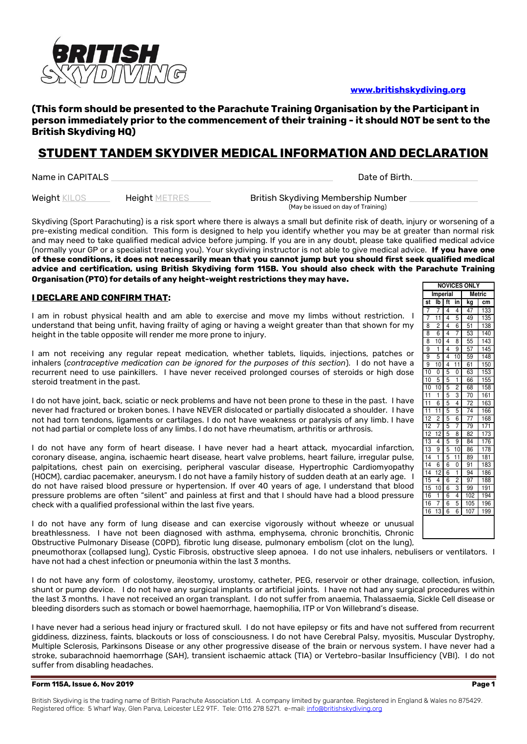

### **[www.britishskydiving.org](http://www.britishskydiving.org/)**

**(This form should be presented to the Parachute Training Organisation by the Participant in person immediately prior to the commencement of their training - it should NOT be sent to the British Skydiving HQ)** 

# **STUDENT TANDEM SKYDIVER MEDICAL INFORMATION AND DECLARATION**

Name in CAPITALS **Date of Birth.** Date of Birth.

Weight KILOS

Height METRES British Skydiving Membership Number (May be issued on day of Training)

Skydiving (Sport Parachuting) is a risk sport where there is always a small but definite risk of death, injury or worsening of a pre-existing medical condition. This form is designed to help you identify whether you may be at greater than normal risk and may need to take qualified medical advice before jumping. If you are in any doubt, please take qualified medical advice (normally your GP or a specialist treating you). Your skydiving instructor is not able to give medical advice. **If you have one of these conditions, it does not necessarily mean that you cannot jump but you should first seek qualified medical advice and certification, using British Skydiving form 115B. You should also check with the Parachute Training Organisation (PTO) for details of any height-weight restrictions they may have. NOVICES ONLY**

## **I DECLARE AND CONFIRM THAT:**

I am in robust physical health and am able to exercise and move my limbs without restriction. I understand that being unfit, having frailty of aging or having a weight greater than that shown for my height in the table opposite will render me more prone to injury.

I am not receiving any regular repeat medication, whether tablets, liquids, injections, patches or inhalers (*contraceptive medication can be ignored for the purposes of this section*). I do not have a recurrent need to use painkillers. I have never received prolonged courses of steroids or high dose steroid treatment in the past.

I do not have joint, back, sciatic or neck problems and have not been prone to these in the past. I have never had fractured or broken bones. I have NEVER dislocated or partially dislocated a shoulder. I have not had torn tendons, ligaments or cartilages. I do not have weakness or paralysis of any limb. I have not had partial or complete loss of any limbs. I do not have rheumatism, arthritis or arthrosis.

I do not have any form of heart disease. I have never had a heart attack, myocardial infarction, coronary disease, angina, ischaemic heart disease, heart valve problems, heart failure, irregular pulse, palpitations, chest pain on exercising, peripheral vascular disease, Hypertrophic Cardiomyopathy (HOCM), cardiac pacemaker, aneurysm. I do not have a family history of sudden death at an early age. I do not have raised blood pressure or hypertension. If over 40 years of age, I understand that blood pressure problems are often "silent" and painless at first and that I should have had a blood pressure check with a qualified professional within the last five years.

I do not have any form of lung disease and can exercise vigorously without wheeze or unusual breathlessness. I have not been diagnosed with asthma, emphysema, chronic bronchitis, Chronic Obstructive Pulmonary Disease (COPD), fibrotic lung disease, pulmonary embolism (clot on the lung),

pneumothorax (collapsed lung), Cystic Fibrosis, obstructive sleep apnoea. I do not use inhalers, nebulisers or ventilators. I have not had a chest infection or pneumonia within the last 3 months.

I do not have any form of colostomy, ileostomy, urostomy, catheter, PEG, reservoir or other drainage, collection, infusion, shunt or pump device. I do not have any surgical implants or artificial joints. I have not had any surgical procedures within the last 3 months. I have not received an organ transplant. I do not suffer from anaemia, Thalassaemia, Sickle Cell disease or bleeding disorders such as stomach or bowel haemorrhage, haemophilia, ITP or Von Willebrand's disease.

I have never had a serious head injury or fractured skull. I do not have epilepsy or fits and have not suffered from recurrent giddiness, dizziness, faints, blackouts or loss of consciousness. I do not have Cerebral Palsy, myositis, Muscular Dystrophy, Multiple Sclerosis, Parkinsons Disease or any other progressive disease of the brain or nervous system. I have never had a stroke, subarachnoid haemorrhage (SAH), transient ischaemic attack (TIA) or Vertebro-basilar Insufficiency (VBI). I do not suffer from disabling headaches.

#### **Form 115A, Issue 6, Nov 2019 Page 1**